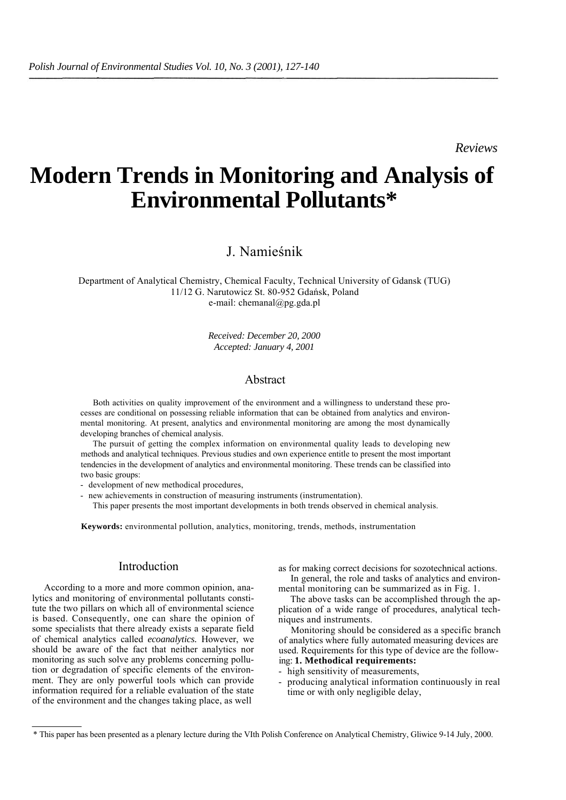*Reviews*

# **Modern Trends in Monitoring and Analysis of Environmental Pollutants\***

# J. Namieśnik

Department of Analytical Chemistry, Chemical Faculty, Technical University of Gdansk (TUG) 11/12 G. Narutowicz St. 80-952 Gdańsk, Poland e-mail: chemanal@pg.gda.pl

> *Received: December 20, 2000 Accepted: January 4, 2001*

# Abstract

Both activities on quality improvement of the environment and a willingness to understand these processes are conditional on possessing reliable information that can be obtained from analytics and environmental monitoring. At present, analytics and environmental monitoring are among the most dynamically developing branches of chemical analysis.

The pursuit of getting the complex information on environmental quality leads to developing new methods and analytical techniques. Previous studies and own experience entitle to present the most important tendencies in the development of analytics and environmental monitoring. These trends can be classified into two basic groups:

- development of new methodical procedures,

- new achievements in construction of measuring instruments (instrumentation).

This paper presents the most important developments in both trends observed in chemical analysis.

**Keywords:** environmental pollution, analytics, monitoring, trends, methods, instrumentation

# Introduction

According to a more and more common opinion, analytics and monitoring of environmental pollutants constitute the two pillars on which all of environmental science is based. Consequently, one can share the opinion of some specialists that there already exists a separate field of chemical analytics called *ecoanalytics.* However, we should be aware of the fact that neither analytics nor monitoring as such solve any problems concerning pollution or degradation of specific elements of the environment. They are only powerful tools which can provide information required for a reliable evaluation of the state of the environment and the changes taking place, as well

as for making correct decisions for sozotechnical actions. In general, the role and tasks of analytics and environ-

mental monitoring can be summarized as in Fig. 1. The above tasks can be accomplished through the application of a wide range of procedures, analytical tech-

niques and instruments. Monitoring should be considered as a specific branch

of analytics where fully automated measuring devices are used. Requirements for this type of device are the following: **1. Methodical requirements:**

- high sensitivity of measurements,
- producing analytical information continuously in real time or with only negligible delay,

<sup>\*</sup> This paper has been presented as a plenary lecture during the VIth Polish Conference on Analytical Chemistry, Gliwice 9-14 July, 2000.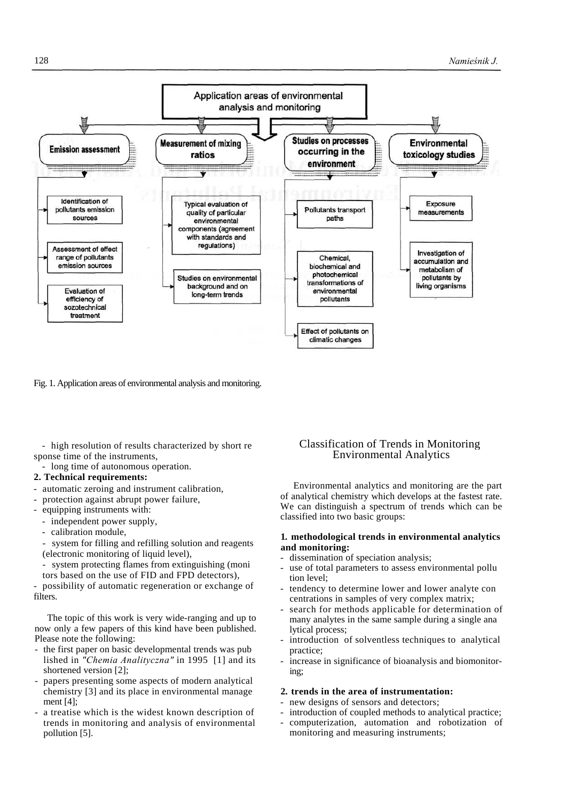

Fig. 1. Application areas of environmental analysis and monitoring.

- high resolution of results characterized by short re sponse time of the instruments,

- long time of autonomous operation.

# **2. Technical requirements:**

- automatic zeroing and instrument calibration,
- protection against abrupt power failure,
- equipping instruments with:
	- independent power supply,
	- calibration module,

system for filling and refilling solution and reagents (electronic monitoring of liquid level),

system protecting flames from extinguishing (moni tors based on the use of FID and FPD detectors),

possibility of automatic regeneration or exchange of filters.

The topic of this work is very wide-ranging and up to now only a few papers of this kind have been published. Please note the following:

- the first paper on basic developmental trends was pub lished in *"Chemia Analityczna"* in 1995 [1] and its shortened version [2];
- papers presenting some aspects of modern analytical chemistry [3] and its place in environmental manage ment [4];
- a treatise which is the widest known description of trends in monitoring and analysis of environmental pollution [5].

# Classification of Trends in Monitoring Environmental Analytics

Environmental analytics and monitoring are the part of analytical chemistry which develops at the fastest rate. We can distinguish a spectrum of trends which can be classified into two basic groups:

# **1. methodological trends in environmental analytics and monitoring:**

- dissemination of speciation analysis;
- use of total parameters to assess environmental pollution level;
- tendency to determine lower and lower analyte con centrations in samples of very complex matrix;
- search for methods applicable for determination of many analytes in the same sample during a single ana lytical process;
- introduction of solventless techniques to analytical practice;
- increase in significance of bioanalysis and biomonitoring;

# **2. trends in the area of instrumentation:**

- new designs of sensors and detectors;
- introduction of coupled methods to analytical practice;
- computerization, automation and robotization of monitoring and measuring instruments;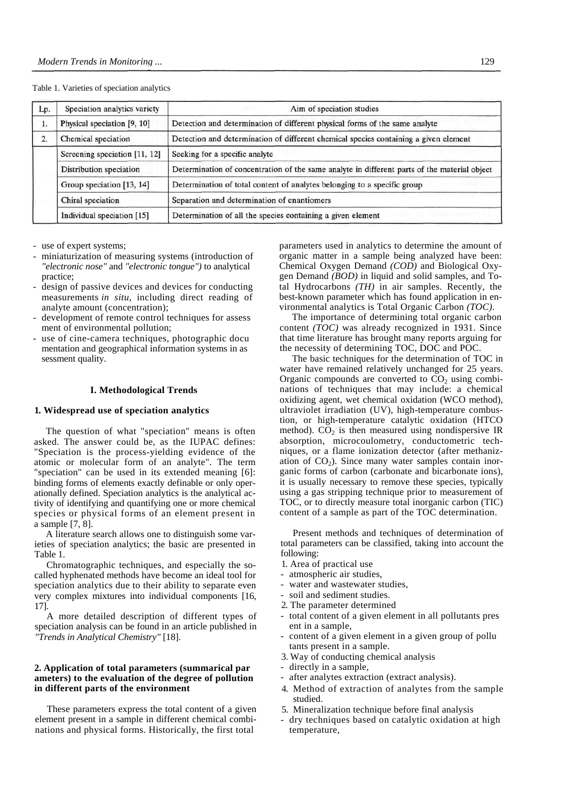| Lp. | Speciation analytics variety  | Aim of speciation studies<br>DOZ1                                                            |  |
|-----|-------------------------------|----------------------------------------------------------------------------------------------|--|
| 1.  | Physical speciation [9, 10]   | Detection and determination of different physical forms of the same analyte                  |  |
| 2.  | Chemical speciation           | Detection and determination of different chemical species containing a given element         |  |
|     | Screening speciation [11, 12] | Seeking for a specific analyte                                                               |  |
|     | Distribution speciation       | Determination of concentration of the same analyte in different parts of the material object |  |
|     | Group speciation [13, 14]     | Determination of total content of analytes belonging to a specific group                     |  |
|     | Chiral speciation             | Separation and determination of enantiomers                                                  |  |
|     | Individual speciation [15]    | Determination of all the species containing a given element                                  |  |

## Table 1. Varieties of speciation analytics

- use of expert systems;

- miniaturization of measuring systems (introduction of *"electronic nose"* and *"electronic tongue")* to analytical practice;
- design of passive devices and devices for conducting measurements *in situ,* including direct reading of analyte amount (concentration);
- development of remote control techniques for assess ment of environmental pollution;
- use of cine-camera techniques, photographic docu mentation and geographical information systems in as sessment quality.

## **I. Methodological Trends**

## **1. Widespread use of speciation analytics**

The question of what "speciation" means is often asked. The answer could be, as the IUPAC defines: "Speciation is the process-yielding evidence of the atomic or molecular form of an analyte". The term "speciation" can be used in its extended meaning [6]: binding forms of elements exactly definable or only operationally defined. Speciation analytics is the analytical activity of identifying and quantifying one or more chemical species or physical forms of an element present in a sample [7, 8].

A literature search allows one to distinguish some varieties of speciation analytics; the basic are presented in Table 1.

Chromatographic techniques, and especially the socalled hyphenated methods have become an ideal tool for speciation analytics due to their ability to separate even very complex mixtures into individual components [16, 17].

A more detailed description of different types of speciation analysis can be found in an article published in *"Trends in Analytical Chemistry"* [18].

# **2. Application of total parameters (summarical par ameters) to the evaluation of the degree of pollution in different parts of the environment**

These parameters express the total content of a given element present in a sample in different chemical combinations and physical forms. Historically, the first total

parameters used in analytics to determine the amount of organic matter in a sample being analyzed have been: Chemical Oxygen Demand *(COD)* and Biological Oxygen Demand *(BOD)* in liquid and solid samples, and Total Hydrocarbons *(TH)* in air samples. Recently, the best-known parameter which has found application in environmental analytics is Total Organic Carbon *(TOC).*

The importance of determining total organic carbon content *(TOC)* was already recognized in 1931. Since that time literature has brought many reports arguing for the necessity of determining TOC, DOC and POC.

The basic techniques for the determination of TOC in water have remained relatively unchanged for 25 years. Organic compounds are converted to  $CO<sub>2</sub>$  using combinations of techniques that may include: a chemical oxidizing agent, wet chemical oxidation (WCO method), ultraviolet irradiation (UV), high-temperature combustion, or high-temperature catalytic oxidation (HTCO method).  $CO<sub>2</sub>$  is then measured using nondispersive IR absorption, microcoulometry, conductometric techniques, or a flame ionization detector (after methanization of  $CO<sub>2</sub>$ ). Since many water samples contain inorganic forms of carbon (carbonate and bicarbonate ions), it is usually necessary to remove these species, typically using a gas stripping technique prior to measurement of TOC, or to directly measure total inorganic carbon (TIC) content of a sample as part of the TOC determination.

Present methods and techniques of determination of total parameters can be classified, taking into account the following:

- 1. Area of practical use
- atmospheric air studies,
- water and wastewater studies,
- soil and sediment studies.
- 2. The parameter determined
- total content of a given element in all pollutants pres ent in a sample,
- content of a given element in a given group of pollu tants present in a sample.
- 3. Way of conducting chemical analysis
- directly in a sample,
- after analytes extraction (extract analysis).
- 4. Method of extraction of analytes from the sample studied.
- 5. Mineralization technique before final analysis
- dry techniques based on catalytic oxidation at high temperature,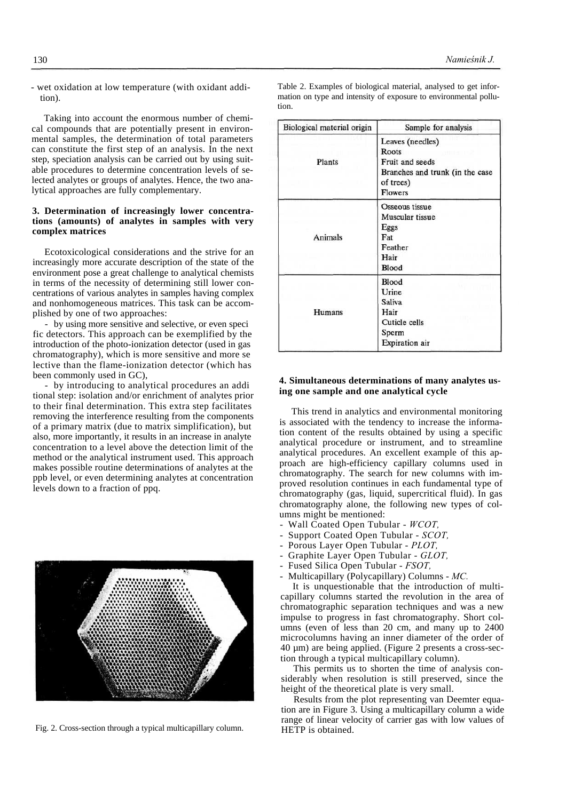- wet oxidation at low temperature (with oxidant addition).

Taking into account the enormous number of chemical compounds that are potentially present in environmental samples, the determination of total parameters can constitute the first step of an analysis. In the next step, speciation analysis can be carried out by using suitable procedures to determine concentration levels of selected analytes or groups of analytes. Hence, the two analytical approaches are fully complementary.

# **3. Determination of increasingly lower concentrations (amounts) of analytes in samples with very complex matrices**

Ecotoxicological considerations and the strive for an increasingly more accurate description of the state of the environment pose a great challenge to analytical chemists in terms of the necessity of determining still lower concentrations of various analytes in samples having complex and nonhomogeneous matrices. This task can be accomplished by one of two approaches:

by using more sensitive and selective, or even specific detectors. This approach can be exemplified by the introduction of the photo-ionization detector (used in gas chromatography), which is more sensitive and more se lective than the flame-ionization detector (which has been commonly used in GC),

- by introducing to analytical procedures an addi tional step: isolation and/or enrichment of analytes prior to their final determination. This extra step facilitates removing the interference resulting from the components of a primary matrix (due to matrix simplification), but also, more importantly, it results in an increase in analyte concentration to a level above the detection limit of the method or the analytical instrument used. This approach makes possible routine determinations of analytes at the ppb level, or even determining analytes at concentration levels down to a fraction of ppq.



Fig. 2. Cross-section through a typical multicapillary column.

Table 2. Examples of biological material, analysed to get information on type and intensity of exposure to environmental pollution.

| Biological material origin | Sample for analysis                                                                                     |
|----------------------------|---------------------------------------------------------------------------------------------------------|
| Plants                     | Leaves (needles)<br>Roots<br>Fruit and seeds<br>Branches and trunk (in the case<br>of trees)<br>Flowers |
| Animals                    | Osseous tissue<br>Muscular tissue<br>Eggs<br>Fat<br>Feather<br>Hair<br>Blood                            |
| Humans                     | Blood<br>Urine<br><b>Saliva</b><br>Hair<br>Cuticle cells<br>Sperm<br><b>Expiration</b> air              |

# **4. Simultaneous determinations of many analytes using one sample and one analytical cycle**

This trend in analytics and environmental monitoring is associated with the tendency to increase the information content of the results obtained by using a specific analytical procedure or instrument, and to streamline analytical procedures. An excellent example of this approach are high-efficiency capillary columns used in chromatography. The search for new columns with improved resolution continues in each fundamental type of chromatography (gas, liquid, supercritical fluid). In gas chromatography alone, the following new types of columns might be mentioned:

- Wall Coated Open Tubular *WCOT,*
- Support Coated Open Tubular *SCOT,*
- Porous Layer Open Tubular *PLOT,*
- Graphite Layer Open Tubular *GLOT,*
- Fused Silica Open Tubular *FSOT,*
- Multicapillary (Polycapillary) Columns *MC.*

It is unquestionable that the introduction of multicapillary columns started the revolution in the area of chromatographic separation techniques and was a new impulse to progress in fast chromatography. Short columns (even of less than 20 cm, and many up to 2400 microcolumns having an inner diameter of the order of 40 µm) are being applied. (Figure 2 presents a cross-section through a typical multicapillary column).

This permits us to shorten the time of analysis considerably when resolution is still preserved, since the height of the theoretical plate is very small.

Results from the plot representing van Deemter equation are in Figure 3. Using a multicapillary column a wide range of linear velocity of carrier gas with low values of HETP is obtained.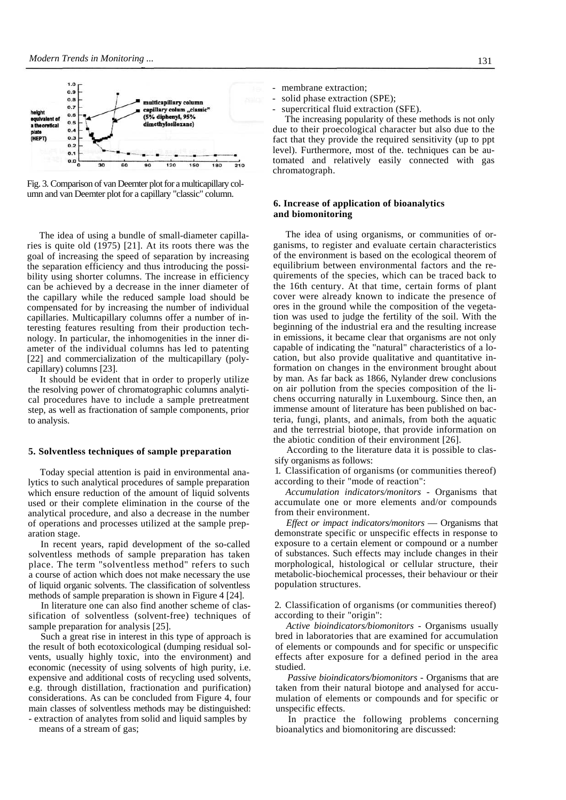

Fig. 3. Comparison of van Deemter plot for a multicapillary column and van Deemter plot for a capillary "classic" column.

The idea of using a bundle of small-diameter capillaries is quite old (1975) [21]. At its roots there was the goal of increasing the speed of separation by increasing the separation efficiency and thus introducing the possibility using shorter columns. The increase in efficiency can be achieved by a decrease in the inner diameter of the capillary while the reduced sample load should be compensated for by increasing the number of individual capillaries. Multicapillary columns offer a number of interesting features resulting from their production technology. In particular, the inhomogenities in the inner diameter of the individual columns has led to patenting [22] and commercialization of the multicapillary (polycapillary) columns [23].

It should be evident that in order to properly utilize the resolving power of chromatographic columns analytical procedures have to include a sample pretreatment step, as well as fractionation of sample components, prior to analysis.

## **5. Solventless techniques of sample preparation**

Today special attention is paid in environmental analytics to such analytical procedures of sample preparation which ensure reduction of the amount of liquid solvents used or their complete elimination in the course of the analytical procedure, and also a decrease in the number of operations and processes utilized at the sample preparation stage.

In recent years, rapid development of the so-called solventless methods of sample preparation has taken place. The term "solventless method" refers to such a course of action which does not make necessary the use of liquid organic solvents. The classification of solventless methods of sample preparation is shown in Figure 4 [24].

In literature one can also find another scheme of classification of solventless (solvent-free) techniques of sample preparation for analysis [25].

Such a great rise in interest in this type of approach is the result of both ecotoxicological (dumping residual solvents, usually highly toxic, into the environment) and economic (necessity of using solvents of high purity, i.e. expensive and additional costs of recycling used solvents, e.g. through distillation, fractionation and purification) considerations. As can be concluded from Figure 4, four main classes of solventless methods may be distinguished: - extraction of analytes from solid and liquid samples by

means of a stream of gas;

- membrane extraction;
- solid phase extraction (SPE);
- supercritical fluid extraction (SFE).

The increasing popularity of these methods is not only due to their proecological character but also due to the fact that they provide the required sensitivity (up to ppt level). Furthermore, most of the. techniques can be automated and relatively easily connected with gas chromatograph.

# **6. Increase of application of bioanalytics and biomonitoring**

The idea of using organisms, or communities of organisms, to register and evaluate certain characteristics of the environment is based on the ecological theorem of equilibrium between environmental factors and the requirements of the species, which can be traced back to the 16th century. At that time, certain forms of plant cover were already known to indicate the presence of ores in the ground while the composition of the vegetation was used to judge the fertility of the soil. With the beginning of the industrial era and the resulting increase in emissions, it became clear that organisms are not only capable of indicating the "natural" characteristics of a location, but also provide qualitative and quantitative information on changes in the environment brought about by man. As far back as 1866, Nylander drew conclusions on air pollution from the species composition of the lichens occurring naturally in Luxembourg. Since then, an immense amount of literature has been published on bacteria, fungi, plants, and animals, from both the aquatic and the terrestrial biotope, that provide information on the abiotic condition of their environment [26].

According to the literature data it is possible to classify organisms as follows:

1. Classification of organisms (or communities thereof) according to their "mode of reaction":

*Accumulation indicators/monitors* - Organisms that accumulate one or more elements and/or compounds from their environment.

*Effect or impact indicators/monitors* — Organisms that demonstrate specific or unspecific effects in response to exposure to a certain element or compound or a number of substances. Such effects may include changes in their morphological, histological or cellular structure, their metabolic-biochemical processes, their behaviour or their population structures.

2. Classification of organisms (or communities thereof) according to their "origin":

*Active bioindicators/biomonitors* - Organisms usually bred in laboratories that are examined for accumulation of elements or compounds and for specific or unspecific effects after exposure for a defined period in the area studied.

*Passive bioindicators/biomonitors* - Organisms that are taken from their natural biotope and analysed for accumulation of elements or compounds and for specific or unspecific effects.

In practice the following problems concerning bioanalytics and biomonitoring are discussed: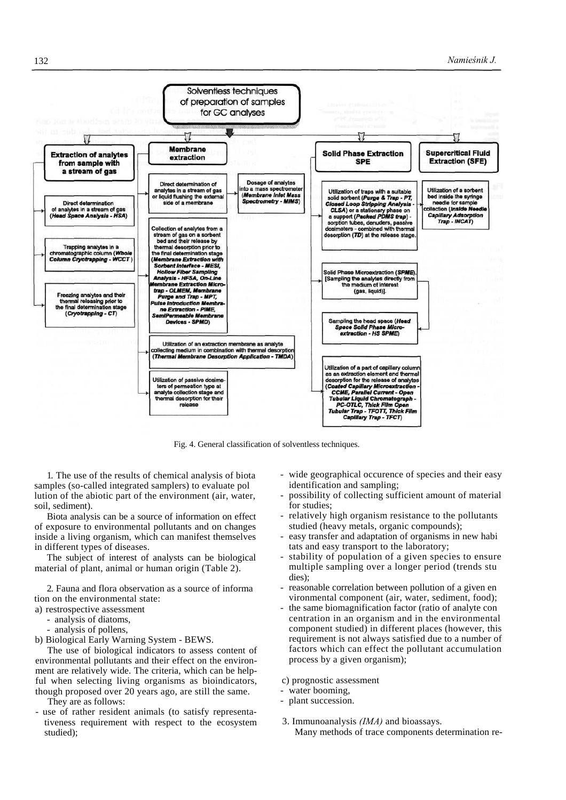

Fig. 4. General classification of solventless techniques.

1. The use of the results of chemical analysis of biota samples (so-called integrated samplers) to evaluate pol lution of the abiotic part of the environment (air, water, soil, sediment).

Biota analysis can be a source of information on effect of exposure to environmental pollutants and on changes inside a living organism, which can manifest themselves in different types of diseases.

The subject of interest of analysts can be biological material of plant, animal or human origin (Table 2).

2. Fauna and flora observation as a source of informa tion on the environmental state:

- a) restrospective assessment
	- analysis of diatoms,
	- analysis of pollens,
- b) Biological Early Warning System BEWS.

The use of biological indicators to assess content of environmental pollutants and their effect on the environment are relatively wide. The criteria, which can be helpful when selecting living organisms as bioindicators, though proposed over 20 years ago, are still the same.

They are as follows:

use of rather resident animals (to satisfy representativeness requirement with respect to the ecosystem studied);

- wide geographical occurence of species and their easy identification and sampling;
- possibility of collecting sufficient amount of material for studies;
- relatively high organism resistance to the pollutants studied (heavy metals, organic compounds);
- easy transfer and adaptation of organisms in new habi tats and easy transport to the laboratory;
- stability of population of a given species to ensure multiple sampling over a longer period (trends stu dies);
- reasonable correlation between pollution of a given en vironmental component (air, water, sediment, food);
- the same biomagnification factor (ratio of analyte con centration in an organism and in the environmental component studied) in different places (however, this requirement is not always satisfied due to a number of factors which can effect the pollutant accumulation process by a given organism);
- c) prognostic assessment
- water booming,
- plant succession.
- 3. Immunoanalysis *(IMA)* and bioassays. Many methods of trace components determination re-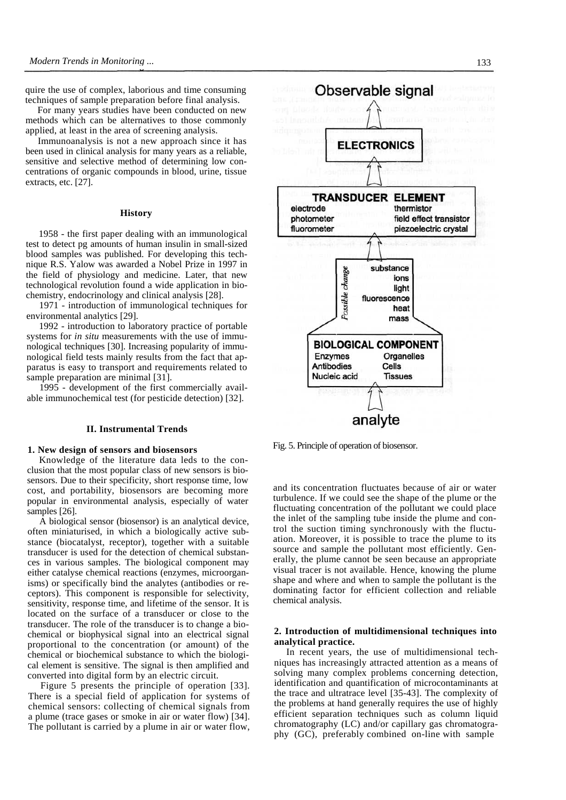quire the use of complex, laborious and time consuming techniques of sample preparation before final analysis.

For many years studies have been conducted on new methods which can be alternatives to those commonly applied, at least in the area of screening analysis.

Immunoanalysis is not a new approach since it has been used in clinical analysis for many years as a reliable, sensitive and selective method of determining low concentrations of organic compounds in blood, urine, tissue extracts, etc. [27].

## **History**

1958 - the first paper dealing with an immunological test to detect pg amounts of human insulin in small-sized blood samples was published. For developing this technique R.S. Yalow was awarded a Nobel Prize in 1997 in the field of physiology and medicine. Later, that new technological revolution found a wide application in biochemistry, endocrinology and clinical analysis [28].

1971 - introduction of immunological techniques for environmental analytics [29].

1992 - introduction to laboratory practice of portable systems for *in situ* measurements with the use of immunological techniques [30]. Increasing popularity of immunological field tests mainly results from the fact that apparatus is easy to transport and requirements related to sample preparation are minimal [31].

1995 - development of the first commercially available immunochemical test (for pesticide detection) [32].

#### **II. Instrumental Trends**

#### **1. New design of sensors and biosensors**

Knowledge of the literature data leds to the conclusion that the most popular class of new sensors is biosensors. Due to their specificity, short response time, low cost, and portability, biosensors are becoming more popular in environmental analysis, especially of water samples [26].

A biological sensor (biosensor) is an analytical device, often miniaturised, in which a biologically active substance (biocatalyst, receptor), together with a suitable transducer is used for the detection of chemical substances in various samples. The biological component may either catalyse chemical reactions (enzymes, microorganisms) or specifically bind the analytes (antibodies or receptors). This component is responsible for selectivity, sensitivity, response time, and lifetime of the sensor. It is located on the surface of a transducer or close to the transducer. The role of the transducer is to change a biochemical or biophysical signal into an electrical signal proportional to the concentration (or amount) of the chemical or biochemical substance to which the biological element is sensitive. The signal is then amplified and converted into digital form by an electric circuit.

Figure 5 presents the principle of operation [33]. There is a special field of application for systems of chemical sensors: collecting of chemical signals from a plume (trace gases or smoke in air or water flow) [34]. The pollutant is carried by a plume in air or water flow,



Fig. 5. Principle of operation of biosensor.

and its concentration fluctuates because of air or water turbulence. If we could see the shape of the plume or the fluctuating concentration of the pollutant we could place the inlet of the sampling tube inside the plume and control the suction timing synchronously with the fluctuation. Moreover, it is possible to trace the plume to its source and sample the pollutant most efficiently. Generally, the plume cannot be seen because an appropriate visual tracer is not available. Hence, knowing the plume shape and where and when to sample the pollutant is the dominating factor for efficient collection and reliable chemical analysis.

# **2. Introduction of multidimensional techniques into analytical practice.**

In recent years, the use of multidimensional techniques has increasingly attracted attention as a means of solving many complex problems concerning detection, identification and quantification of microcontaminants at the trace and ultratrace level [35-43]. The complexity of the problems at hand generally requires the use of highly efficient separation techniques such as column liquid chromatography (LC) and/or capillary gas chromatography (GC), preferably combined on-line with sample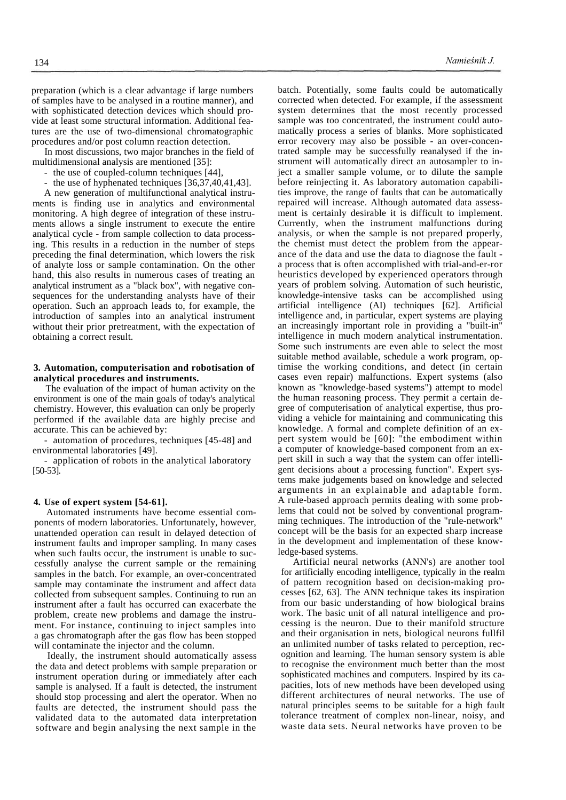preparation (which is a clear advantage if large numbers of samples have to be analysed in a routine manner), and with sophisticated detection devices which should provide at least some structural information. Additional features are the use of two-dimensional chromatographic procedures and/or post column reaction detection.

In most discussions, two major branches in the field of multidimensional analysis are mentioned [35]:

- the use of coupled-column techniques [44],

- the use of hyphenated techniques [36,37,40,41,43].

A new generation of multifunctional analytical instruments is finding use in analytics and environmental monitoring. A high degree of integration of these instruments allows a single instrument to execute the entire analytical cycle - from sample collection to data processing. This results in a reduction in the number of steps preceding the final determination, which lowers the risk of analyte loss or sample contamination. On the other hand, this also results in numerous cases of treating an analytical instrument as a "black box", with negative consequences for the understanding analysts have of their operation. Such an approach leads to, for example, the introduction of samples into an analytical instrument without their prior pretreatment, with the expectation of obtaining a correct result.

# **3. Automation, computerisation and robotisation of analytical procedures and instruments.**

The evaluation of the impact of human activity on the environment is one of the main goals of today's analytical chemistry. However, this evaluation can only be properly performed if the available data are highly precise and accurate. This can be achieved by:

- automation of procedures, techniques [45-48] and environmental laboratories [49].

- application of robots in the analytical laboratory [50-53].

# **4. Use of expert system [54-61].**

Automated instruments have become essential components of modern laboratories. Unfortunately, however, unattended operation can result in delayed detection of instrument faults and improper sampling. In many cases when such faults occur, the instrument is unable to successfully analyse the current sample or the remaining samples in the batch. For example, an over-concentrated sample may contaminate the instrument and affect data collected from subsequent samples. Continuing to run an instrument after a fault has occurred can exacerbate the problem, create new problems and damage the instrument. For instance, continuing to inject samples into a gas chromatograph after the gas flow has been stopped will contaminate the injector and the column.

Ideally, the instrument should automatically assess the data and detect problems with sample preparation or instrument operation during or immediately after each sample is analysed. If a fault is detected, the instrument should stop processing and alert the operator. When no faults are detected, the instrument should pass the validated data to the automated data interpretation software and begin analysing the next sample in the

batch. Potentially, some faults could be automatically corrected when detected. For example, if the assessment system determines that the most recently processed sample was too concentrated, the instrument could automatically process a series of blanks. More sophisticated error recovery may also be possible - an over-concentrated sample may be successfully reanalysed if the instrument will automatically direct an autosampler to inject a smaller sample volume, or to dilute the sample before reinjecting it. As laboratory automation capabilities improve, the range of faults that can be automatically repaired will increase. Although automated data assessment is certainly desirable it is difficult to implement. Currently, when the instrument malfunctions during analysis, or when the sample is not prepared properly, the chemist must detect the problem from the appearance of the data and use the data to diagnose the fault a process that is often accomplished with trial-and-er-ror heuristics developed by experienced operators through years of problem solving. Automation of such heuristic, knowledge-intensive tasks can be accomplished using artificial intelligence (AI) techniques [62]. Artificial intelligence and, in particular, expert systems are playing an increasingly important role in providing a "built-in" intelligence in much modern analytical instrumentation. Some such instruments are even able to select the most suitable method available, schedule a work program, optimise the working conditions, and detect (in certain cases even repair) malfunctions. Expert systems (also known as "knowledge-based systems") attempt to model the human reasoning process. They permit a certain degree of computerisation of analytical expertise, thus providing a vehicle for maintaining and communicating this knowledge. A formal and complete definition of an expert system would be [60]: "the embodiment within a computer of knowledge-based component from an expert skill in such a way that the system can offer intelligent decisions about a processing function". Expert systems make judgements based on knowledge and selected arguments in an explainable and adaptable form. A rule-based approach permits dealing with some problems that could not be solved by conventional programming techniques. The introduction of the "rule-network" concept will be the basis for an expected sharp increase in the development and implementation of these knowledge-based systems.

Artificial neural networks (ANN's) are another tool for artificially encoding intelligence, typically in the realm of pattern recognition based on decision-making processes [62, 63]. The ANN technique takes its inspiration from our basic understanding of how biological brains work. The basic unit of all natural intelligence and processing is the neuron. Due to their manifold structure and their organisation in nets, biological neurons fullfil an unlimited number of tasks related to perception, recognition and learning. The human sensory system is able to recognise the environment much better than the most sophisticated machines and computers. Inspired by its capacities, lots of new methods have been developed using different architectures of neural networks. The use of natural principles seems to be suitable for a high fault tolerance treatment of complex non-linear, noisy, and waste data sets. Neural networks have proven to be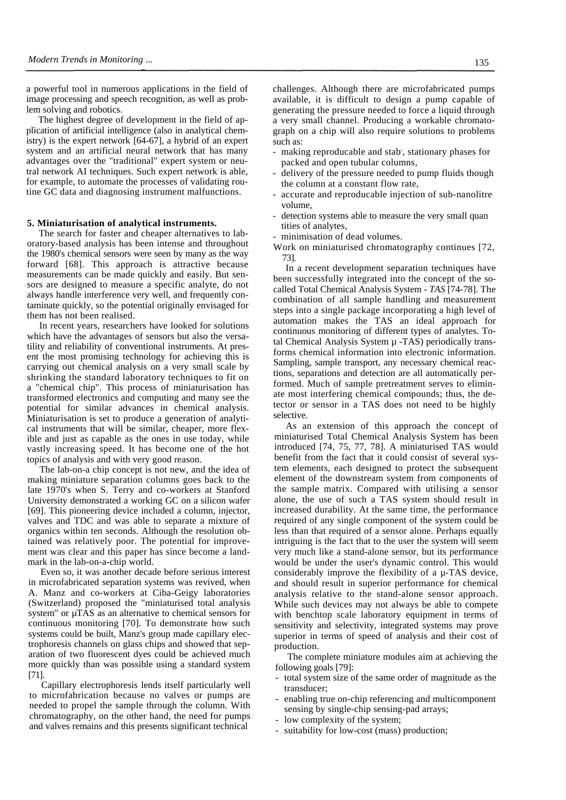a powerful tool in numerous applications in the field of image processing and speech recognition, as well as problem solving and robotics.

The highest degree of development in the field of application of artificial intelligence (also in analytical chemistry) is the expert network [64-67], a hybrid of an expert system and an artificial neural network that has many advantages over the "traditional" expert system or neutral network AI techniques. Such expert network is able, for example, to automate the processes of validating routine GC data and diagnosing instrument malfunctions.

## **5. Miniaturisation of analytical instruments.**

The search for faster and cheaper alternatives to laboratory-based analysis has been intense and throughout the 1980's chemical sensors were seen by many as the way forward [68]. This approach is attractive because measurements can be made quickly and easily. But sensors are designed to measure a specific analyte, do not always handle interference very well, and frequently contaminate quickly, so the potential originally envisaged for them has not been realised.

In recent years, researchers have looked for solutions which have the advantages of sensors but also the versatility and reliability of conventional instruments. At present the most promising technology for achieving this is carrying out chemical analysis on a very small scale by shrinking the standard laboratory techniques to fit on a "chemical chip". This process of miniaturisation has transformed electronics and computing and many see the potential for similar advances in chemical analysis. Miniaturisation is set to produce a generation of analytical instruments that will be similar, cheaper, more flexible and just as capable as the ones in use today, while vastly increasing speed. It has become one of the hot topics of analysis and with very good reason.

The lab-on-a chip concept is not new, and the idea of making miniature separation columns goes back to the late 1970's when S. Terry and co-workers at Stanford University demonstrated a working GC on a silicon wafer [69]. This pioneering device included a column, injector, valves and TDC and was able to separate a mixture of organics within ten seconds. Although the resolution obtained was relatively poor. The potential for improvement was clear and this paper has since become a landmark in the lab-on-a-chip world.

Even so, it was another decade before serious interest in microfabricated separation systems was revived, when A. Manz and co-workers at Ciba-Geigy laboratories (Switzerland) proposed the "miniaturised total analysis system" or  $\mu$ TAS as an alternative to chemical sensors for continuous monitoring [70]. To demonstrate how such systems could be built, Manz's group made capillary electrophoresis channels on glass chips and showed that separation of two fluorescent dyes could be achieved much more quickly than was possible using a standard system [71].

Capillary electrophoresis lends itself particularly well to microfabrication because no valves or pumps are needed to propel the sample through the column. With chromatography, on the other hand, the need for pumps and valves remains and this presents significant technical

challenges. Although there are microfabricated pumps available, it is difficult to design a pump capable of generating the pressure needed to force a liquid through a very small channel. Producing a workable chromatograph on a chip will also require solutions to problems such as:

- making reproducable and stab', stationary phases for packed and open tubular columns,
- delivery of the pressure needed to pump fluids though the column at a constant flow rate,
- accurate and reproducable injection of sub-nanolitre volume,
- detection systems able to measure the very small quan tities of analytes,

- minimisation of dead volumes.

Work on miniaturised chromatography continues [72, 73].

In a recent development separation techniques have been successfully integrated into the concept of the socalled Total Chemical Analysis System - *TAS* [74-78]. The combination of all sample handling and measurement steps into a single package incorporating a high level of automation makes the TAS an ideal approach for continuous monitoring of different types of analytes. Total Chemical Analysis System  $\mu$  -TAS) periodically transforms chemical information into electronic information. Sampling, sample transport, any necessary chemical reactions, separations and detection are all automatically performed. Much of sample pretreatment serves to eliminate most interfering chemical compounds; thus, the detector or sensor in a TAS does not need to be highly selective.

As an extension of this approach the concept of miniaturised Total Chemical Analysis System has been introduced [74, 75, 77, 78]. A miniaturised TAS would benefit from the fact that it could consist of several system elements, each designed to protect the subsequent element of the downstream system from components of the sample matrix. Compared with utilising a sensor alone, the use of such a TAS system should result in increased durability. At the same time, the performance required of any single component of the system could be less than that required of a sensor alone. Perhaps equally intriguing is the fact that to the user the system will seem very much like a stand-alone sensor, but its performance would be under the user's dynamic control. This would considerably improve the flexibility of a µ-TAS device, and should result in superior performance for chemical analysis relative to the stand-alone sensor approach. While such devices may not always be able to compete with benchtop scale laboratory equipment in terms of sensitivity and selectivity, integrated systems may prove superior in terms of speed of analysis and their cost of production.

The complete miniature modules aim at achieving the following goals [79]:

- total system size of the same order of magnitude as the transducer;
- enabling true on-chip referencing and multicomponent sensing by single-chip sensing-pad arrays;
- low complexity of the system;
- suitability for low-cost (mass) production;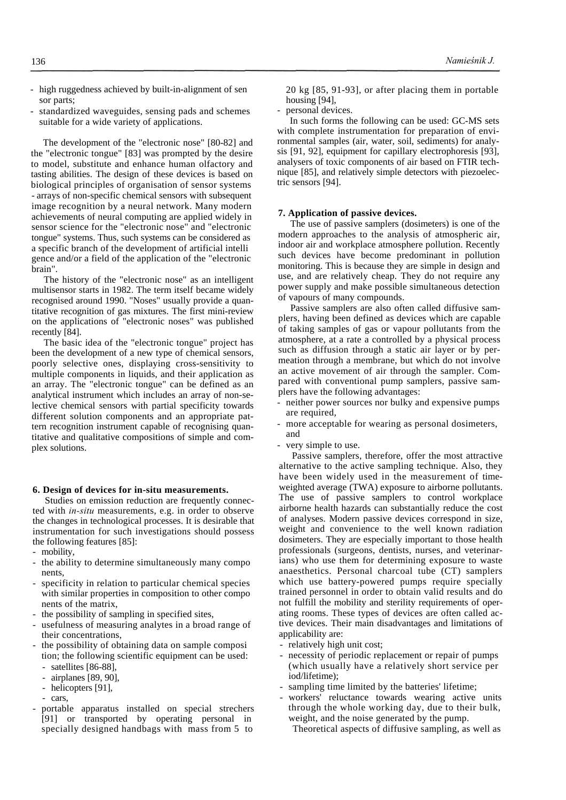- high ruggedness achieved by built-in-alignment of sen sor parts;
- standardized waveguides, sensing pads and schemes suitable for a wide variety of applications.

The development of the "electronic nose" [80-82] and the "electronic tongue" [83] was prompted by the desire to model, substitute and enhance human olfactory and tasting abilities. The design of these devices is based on biological principles of organisation of sensor systems - arrays of non-specific chemical sensors with subsequent image recognition by a neural network. Many modern achievements of neural computing are applied widely in sensor science for the "electronic nose" and "electronic tongue" systems. Thus, such systems can be considered as a specific branch of the development of artificial intelli gence and/or a field of the application of the "electronic brain".

The history of the "electronic nose" as an intelligent multisensor starts in 1982. The term itself became widely recognised around 1990. "Noses" usually provide a quantitative recognition of gas mixtures. The first mini-review on the applications of "electronic noses" was published recently [84].

The basic idea of the "electronic tongue" project has been the development of a new type of chemical sensors, poorly selective ones, displaying cross-sensitivity to multiple components in liquids, and their application as an array. The "electronic tongue" can be defined as an analytical instrument which includes an array of non-selective chemical sensors with partial specificity towards different solution components and an appropriate pattern recognition instrument capable of recognising quantitative and qualitative compositions of simple and complex solutions.

#### **6. Design of devices for in-situ measurements.**

Studies on emission reduction are frequently connected with *in-situ* measurements, e.g. in order to observe the changes in technological processes. It is desirable that instrumentation for such investigations should possess the following features [85]:

- mobility,
- the ability to determine simultaneously many compo nents,
- specificity in relation to particular chemical species with similar properties in composition to other compo nents of the matrix,
- the possibility of sampling in specified sites,
- usefulness of measuring analytes in a broad range of their concentrations,
- the possibility of obtaining data on sample composi tion; the following scientific equipment can be used:
	- satellites [86-88],
	- airplanes [89, 90],
	- helicopters [91],
	- cars,
- portable apparatus installed on special strechers [91] or transported by operating personal in specially designed handbags with mass from 5 to

20 kg [85, 91-93], or after placing them in portable housing [94],

- personal devices.

In such forms the following can be used: GC-MS sets with complete instrumentation for preparation of environmental samples (air, water, soil, sediments) for analysis [91, 92], equipment for capillary electrophoresis [93], analysers of toxic components of air based on FTIR technique [85], and relatively simple detectors with piezoelectric sensors [94].

## **7. Application of passive devices.**

The use of passive samplers (dosimeters) is one of the modern approaches to the analysis of atmospheric air, indoor air and workplace atmosphere pollution. Recently such devices have become predominant in pollution monitoring. This is because they are simple in design and use, and are relatively cheap. They do not require any power supply and make possible simultaneous detection of vapours of many compounds.

Passive samplers are also often called diffusive samplers, having been defined as devices which are capable of taking samples of gas or vapour pollutants from the atmosphere, at a rate a controlled by a physical process such as diffusion through a static air layer or by permeation through a membrane, but which do not involve an active movement of air through the sampler. Compared with conventional pump samplers, passive samplers have the following advantages:

- neither power sources nor bulky and expensive pumps are required,
- more acceptable for wearing as personal dosimeters, and
- very simple to use.

Passive samplers, therefore, offer the most attractive alternative to the active sampling technique. Also, they have been widely used in the measurement of timeweighted average (TWA) exposure to airborne pollutants. The use of passive samplers to control workplace airborne health hazards can substantially reduce the cost of analyses. Modern passive devices correspond in size, weight and convenience to the well known radiation dosimeters. They are especially important to those health professionals (surgeons, dentists, nurses, and veterinarians) who use them for determining exposure to waste anaesthetics. Personal charcoal tube (CT) samplers which use battery-powered pumps require specially trained personnel in order to obtain valid results and do not fulfill the mobility and sterility requirements of operating rooms. These types of devices are often called active devices. Their main disadvantages and limitations of applicability are:

- relatively high unit cost;
- necessity of periodic replacement or repair of pumps (which usually have a relatively short service per iod/lifetime);
- sampling time limited by the batteries' lifetime;
- workers' reluctance towards wearing active units through the whole working day, due to their bulk, weight, and the noise generated by the pump.
	- Theoretical aspects of diffusive sampling, as well as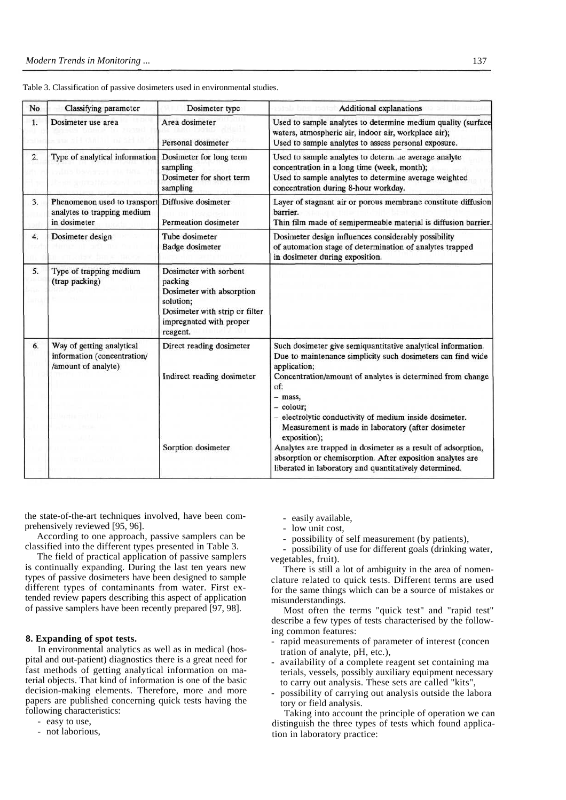| No | Classifying parameter                                                           | Dosimeter type                                                                                                                                       | <b>Additional explanations</b>                                                                                                                                                                                                                                                                                                                            |
|----|---------------------------------------------------------------------------------|------------------------------------------------------------------------------------------------------------------------------------------------------|-----------------------------------------------------------------------------------------------------------------------------------------------------------------------------------------------------------------------------------------------------------------------------------------------------------------------------------------------------------|
| 1. | Dosimeter use area                                                              | Area dosimeter<br>Personal dosimeter                                                                                                                 | Used to sample analytes to determine medium quality (surface<br>waters, atmospheric air, indoor air, workplace air);<br>Used to sample analytes to assess personal exposure.                                                                                                                                                                              |
| 2. | Type of analytical information                                                  | Dosimeter for long term<br>sampling<br>Dosimeter for short term<br>sampling                                                                          | Used to sample analytes to determ are average analyte<br>concentration in a long time (week, month);<br>Used to sample analytes to determine average weighted<br>concentration during 8-hour workday.                                                                                                                                                     |
| 3. | Phenomenon used to transport<br>analytes to trapping medium<br>in dosimeter     | Diffusive dosimeter<br><b>Permeation dosimeter</b>                                                                                                   | Layer of stagnant air or porous membrane constitute diffusion<br>barrier.<br>Thin film made of semipermeable material is diffusion barrier.                                                                                                                                                                                                               |
| 4. | Dosimeter design                                                                | Tube dosimeter<br>Badge dosimeter                                                                                                                    | Dosimeter design influences considerably possibility<br>of automation stage of determination of analytes trapped<br>in dosimeter during exposition.                                                                                                                                                                                                       |
| 5. | Type of trapping medium<br>(trap packing)                                       | Dosimeter with sorbent<br>packing<br>Dosimeter with absorption<br>solution;<br>Dosimeter with strip or filter<br>impregnated with proper<br>reagent. |                                                                                                                                                                                                                                                                                                                                                           |
| 6. | Way of getting analytical<br>information (concentration/<br>/amount of analyte) | Direct reading dosimeter<br>Indirect reading dosimeter                                                                                               | Such dosimeter give semiquantitative analytical information.<br>Due to maintenance simplicity such dosimeters can find wide<br>application;<br>Concentration/amount of analytes is determined from change<br>of:<br>- mass,<br>- colour;<br>- electrolytic conductivity of medium inside dosimeter.<br>Measurement is made in laboratory (after dosimeter |
|    |                                                                                 | Sorption dosimeter                                                                                                                                   | exposition);<br>Analytes are trapped in dosimeter as a result of adsorption,<br>absorption or chemisorption. After exposition analytes are<br>liberated in laboratory and quantitatively determined.                                                                                                                                                      |

Table 3. Classification of passive dosimeters used in environmental studies.

the state-of-the-art techniques involved, have been comprehensively reviewed [95, 96].

According to one approach, passive samplers can be classified into the different types presented in Table 3.

The field of practical application of passive samplers is continually expanding. During the last ten years new types of passive dosimeters have been designed to sample different types of contaminants from water. First extended review papers describing this aspect of application of passive samplers have been recently prepared [97, 98].

# **8. Expanding of spot tests.**

In environmental analytics as well as in medical (hospital and out-patient) diagnostics there is a great need for fast methods of getting analytical information on material objects. That kind of information is one of the basic decision-making elements. Therefore, more and more papers are published concerning quick tests having the following characteristics:

- easy to use,
- not laborious,

- easily available,

- low unit cost,
- possibility of self measurement (by patients),

possibility of use for different goals (drinking water, vegetables, fruit).

There is still a lot of ambiguity in the area of nomenclature related to quick tests. Different terms are used for the same things which can be a source of mistakes or misunderstandings.

Most often the terms "quick test" and "rapid test" describe a few types of tests characterised by the following common features:

- rapid measurements of parameter of interest (concen tration of analyte, pH, etc.),
- availability of a complete reagent set containing ma terials, vessels, possibly auxiliary equipment necessary to carry out analysis. These sets are called "kits",
- possibility of carrying out analysis outside the labora tory or field analysis.

Taking into account the principle of operation we can distinguish the three types of tests which found application in laboratory practice: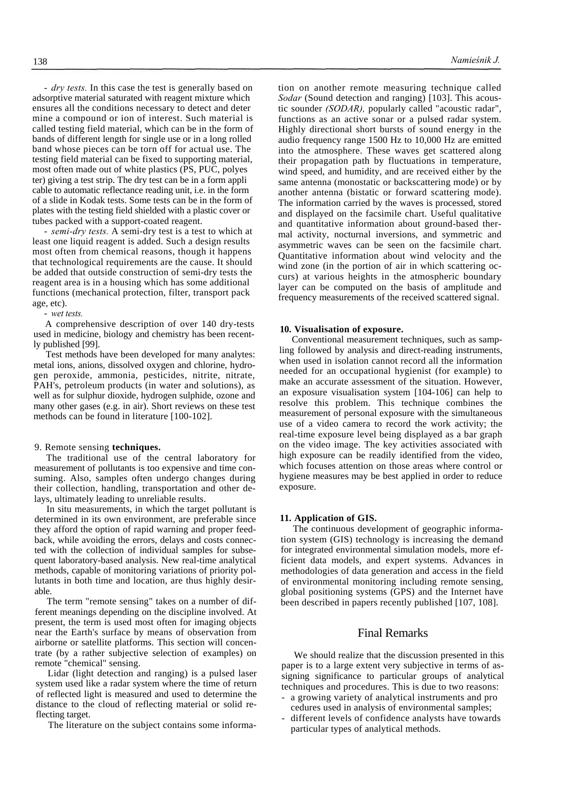- *dry tests.* In this case the test is generally based on adsorptive material saturated with reagent mixture which ensures all the conditions necessary to detect and deter mine a compound or ion of interest. Such material is called testing field material, which can be in the form of bands of different length for single use or in a long rolled band whose pieces can be torn off for actual use. The testing field material can be fixed to supporting material, most often made out of white plastics (PS, PUC, polyes ter) giving a test strip. The dry test can be in a form appli cable to automatic reflectance reading unit, i.e. in the form of a slide in Kodak tests. Some tests can be in the form of plates with the testing field shielded with a plastic cover or tubes packed with a support-coated reagent.

- *semi-dry tests.* A semi-dry test is a test to which at least one liquid reagent is added. Such a design results most often from chemical reasons, though it happens that technological requirements are the cause. It should be added that outside construction of semi-dry tests the reagent area is in a housing which has some additional functions (mechanical protection, filter, transport pack age, etc).

- *wet tests.*

A comprehensive description of over 140 dry-tests used in medicine, biology and chemistry has been recently published [99].

Test methods have been developed for many analytes: metal ions, anions, dissolved oxygen and chlorine, hydrogen peroxide, ammonia, pesticides, nitrite, nitrate, PAH's, petroleum products (in water and solutions), as well as for sulphur dioxide, hydrogen sulphide, ozone and many other gases (e.g. in air). Short reviews on these test methods can be found in literature [100-102].

## 9. Remote sensing **techniques.**

The traditional use of the central laboratory for measurement of pollutants is too expensive and time consuming. Also, samples often undergo changes during their collection, handling, transportation and other delays, ultimately leading to unreliable results.

In situ measurements, in which the target pollutant is determined in its own environment, are preferable since they afford the option of rapid warning and proper feedback, while avoiding the errors, delays and costs connected with the collection of individual samples for subsequent laboratory-based analysis. New real-time analytical methods, capable of monitoring variations of priority pollutants in both time and location, are thus highly desirable.

The term "remote sensing" takes on a number of different meanings depending on the discipline involved. At present, the term is used most often for imaging objects near the Earth's surface by means of observation from airborne or satellite platforms. This section will concentrate (by a rather subjective selection of examples) on remote "chemical" sensing.

Lidar (light detection and ranging) is a pulsed laser system used like a radar system where the time of return of reflected light is measured and used to determine the distance to the cloud of reflecting material or solid reflecting target.

The literature on the subject contains some informa-

tion on another remote measuring technique called *Sodar* (Sound detection and ranging) [103]. This acoustic sounder *(SODAR),* popularly called "acoustic radar", functions as an active sonar or a pulsed radar system. Highly directional short bursts of sound energy in the audio frequency range 1500 Hz to 10,000 Hz are emitted into the atmosphere. These waves get scattered along their propagation path by fluctuations in temperature, wind speed, and humidity, and are received either by the same antenna (monostatic or backscattering mode) or by another antenna (bistatic or forward scattering mode). The information carried by the waves is processed, stored and displayed on the facsimile chart. Useful qualitative and quantitative information about ground-based thermal activity, nocturnal inversions, and symmetric and asymmetric waves can be seen on the facsimile chart. Quantitative information about wind velocity and the wind zone (in the portion of air in which scattering occurs) at various heights in the atmospheric boundary layer can be computed on the basis of amplitude and frequency measurements of the received scattered signal.

#### **10. Visualisation of exposure.**

Conventional measurement techniques, such as sampling followed by analysis and direct-reading instruments, when used in isolation cannot record all the information needed for an occupational hygienist (for example) to make an accurate assessment of the situation. However, an exposure visualisation system [104-106] can help to resolve this problem. This technique combines the measurement of personal exposure with the simultaneous use of a video camera to record the work activity; the real-time exposure level being displayed as a bar graph on the video image. The key activities associated with high exposure can be readily identified from the video, which focuses attention on those areas where control or hygiene measures may be best applied in order to reduce exposure.

## **11. Application of GIS.**

The continuous development of geographic information system (GIS) technology is increasing the demand for integrated environmental simulation models, more efficient data models, and expert systems. Advances in methodologies of data generation and access in the field of environmental monitoring including remote sensing, global positioning systems (GPS) and the Internet have been described in papers recently published [107, 108].

# Final Remarks

We should realize that the discussion presented in this paper is to a large extent very subjective in terms of assigning significance to particular groups of analytical techniques and procedures. This is due to two reasons:

- a growing variety of analytical instruments and pro cedures used in analysis of environmental samples;
- different levels of confidence analysts have towards particular types of analytical methods.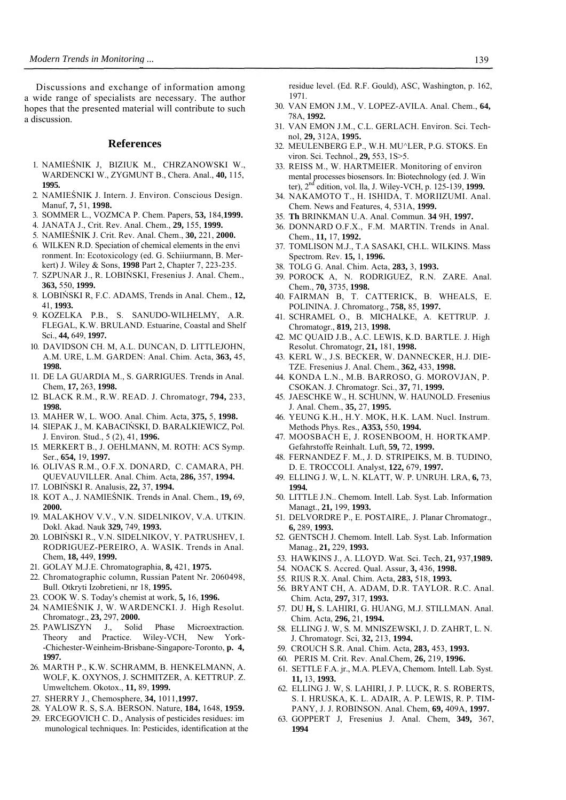Discussions and exchange of information among a wide range of specialists are necessary. The author hopes that the presented material will contribute to such a discussion.

# **References**

- 1. NAMIEŚNIK J, BIZIUK M., CHRZANOWSKI W., WARDENCKI W., ZYGMUNT B., Chera. Anal., **40,** 115, **1995.**
- 2. NAMIEŚNIK J. Intern. J. Environ. Conscious Design. Manuf, **7,** 51, **1998.**
- 3. SOMMER L., VOZMCA P. Chem. Papers, **53,** 184,**1999.**
- 4. JANATA J., Crit. Rev. Anal. Chem., **29,** 155, **1999.**
- 5. NAMIEŚNIK J. Crit. Rev. Anal. Chem., **30,** 221, **2000.**
- 6. WILKEN R.D. Speciation of chemical elements in the envi ronment. In: Ecotoxicology (ed. G. Schiiurmann, B. Merkert) J. Wiley & Sons, **1998** Part 2, Chapter 7, 223-235.
- 7. SZPUNAR J., R. LOBIŃSKI, Fresenius J. Anal. Chem., **363,** 550, **1999.**
- 8. LOBIŃSKI R, F.C. ADAMS, Trends in Anal. Chem., **12,**  41, **1993.**
- 9. KOZELKA P.B., S. SANUDO-WILHELMY, A.R. FLEGAL, K.W. BRULAND. Estuarine, Coastal and Shelf Sci., **44,** 649, **1997.**
- 10. DAVIDSON CH. M, A.L. DUNCAN, D. LITTLEJOHN, A.M. URE, L.M. GARDEN: Anal. Chim. Acta, **363,** 45, **1998.**
- 11. DE LA GUARDIA M., S. GARRIGUES. Trends in Anal. Chem, **17,** 263, **1998.**
- 12. BLACK R.M., R.W. READ. J. Chromatogr, **794,** 233, **1998.**
- 13. MAHER W, L. WOO. Anal. Chim. Acta, **375,** 5, **1998.**
- 14. SIEPAK J., M. KABACIŃSKI, D. BARALKIEWICZ, Pol. J. Environ. Stud., 5 (2), 41, **1996.**
- 15. MERKERT B., J. OEHLMANN, M. ROTH: ACS Symp. Ser., **654,** 19, **1997.**
- 16. OLIVAS R.M., O.F.X. DONARD, C. CAMARA, PH. QUEVAUVILLER. Anal. Chim. Acta, **286,** 357, **1994.**
- 17. LOBIŃSKI R. Analusis, **22,** 37, **1994.**
- 18. KOT A., J. NAMIEŚNIK. Trends in Anal. Chem., **19,** 69, **2000.**
- 19. MALAKHOV V.V., V.N. SIDELNIKOV, V.A. UTKIN. Dokl. Akad. Nauk **329,** 749, **1993.**
- 20. LOBIŃSKI R., V.N. SIDELNIKOV, Y. PATRUSHEV, I. RODRIGUEZ-PEREIRO, A. WASIK. Trends in Anal. Chem, **18,** 449, **1999.**
- 21. GOLAY M.J.E. Chromatographia, **8,** 421, **1975.**
- 22. Chromatographic column, Russian Patent Nr. 2060498, Bull. Otkryti Izobretieni, nr 18, **1995.**
- 23. COOK W. S. Today's chemist at work, **5,** 16, **1996.**
- 24. NAMIEŚNIK J, W. WARDENCKI. J. High Resolut. Chromatogr., **23,** 297, **2000.**
- 25. PAWLISZYN J., Solid Phase Microextraction. Theory and Practice. Wiley-VCH, New York- -Chichester-Weinheim-Brisbane-Singapore-Toronto, **p. 4, 1997.**
- 26. MARTH P., K.W. SCHRAMM, B. HENKELMANN, A. WOLF, K. OXYNOS, J. SCHMITZER, A. KETTRUP. Z. Umweltchem. Okotox., **11,** 89, **1999.**
- 27. SHERRY J., Chemosphere, **34,** 1011,**1997.**
- 28. YALOW R. S, S.A. BERSON. Nature, **184,** 1648, **1959.**
- 29. ERCEGOVICH C. D., Analysis of pesticides residues: im munological techniques. In: Pesticides, identification at the

residue level. (Ed. R.F. Gould), ASC, Washington, p. 162, 1971.

- 30. VAN EMON J.M., V. LOPEZ-AVILA. Anal. Chem., **64,**  78A, **1992.**
- 31. VAN EMON J.M., C.L. GERLACH. Environ. Sci. Technol, **29,** 312A, **1995.**
- 32. MEULENBERG E.P., W.H. MU^LER, P.G. STOKS. En viron. Sci. Technol., **29,** 553, 1S>5.
- 33. REISS M., W. HARTMEIER. Monitoring of environ mental processes biosensors. In: Biotechnology (ed. J. Win ter), 2nd edition, vol. lla, J. Wiley-VCH, p. 125-139, **1999.**
- 34. NAKAMOTO T., H. ISHIDA, T. MORIIZUMI. Anal. Chem. News and Features, 4, 531A, **1999.**
- 35. **Th** BRINKMAN U.A. Anal. Commun. **34** 9H, **1997.**
- 36. DONNARD O.F.X., F.M. MARTIN. Trends in Anal. Chem., **11,** 17, **1992.**
- 37. TOMLISON M.J., T.A SASAKI, CH.L. WILKINS. Mass Spectrom. Rev. **15,** 1, **1996.**
- 38. TOLG G. Anal. Chim. Acta, **283,** 3, **1993.**
- 39. POROCK A, N. RODRIGUEZ, R.N. ZARE. Anal. Chem., **70,** 3735, **1998.**
- 40. FAIRMAN B, T. CATTERICK, B. WHEALS, E. POLININA. J. Chromatorg., **758,** 85, **1997.**
- 41. SCHRAMEL O., B. MICHALKE, A. KETTRUP. J. Chromatogr., **819,** 213, **1998.**
- 42. MC QUAID J.B., A.C. LEWIS, K.D. BARTLE. J. High Resolut. Chromatogr, **21,** 181, **1998.**
- 43. KERL W., J.S. BECKER, W. DANNECKER, H.J. DIE-TZE. Fresenius J. Anal. Chem., **362,** 433, **1998.**
- 44. KONDA L.N., M.B. BARROSO, G. MOROVJAN, P. CSOKAN. J. Chromatogr. Sci., **37,** 71, **1999.**
- 45. JAESCHKE W., H. SCHUNN, W. HAUNOLD. Fresenius J. Anal. Chem., **35,** 27, **1995.**
- 46. YEUNG K.H., H.Y. MOK, H.K. LAM. Nucl. Instrum. Methods Phys. Res., **A353,** 550, **1994.**
- 47. MOOSBACH E, J. ROSENBOOM, H. HORTKAMP. Gefahrstoffe Reinhalt. Luft, **59,** 72, **1999.**
- 48. FERNANDEZ F. M., J. D. STRIPEIKS, M. B. TUDINO, D. E. TROCCOLI. Analyst, **122,** 679, **1997.**
- 49. ELLING J. W, L. N. KLATT, W. P. UNRUH. LRA, **6,** 73, **1994.**
- 50. LITTLE J.N.. Chemom. Intell. Lab. Syst. Lab. Information Managt., **21,** 199, **1993.**
- 51. DELVORDRE P., E. POSTAIRE,. J. Planar Chromatogr., **6,** 289, **1993.**
- 52. GENTSCH J. Chemom. Intell. Lab. Syst. Lab. Information Manag., **21,** 229, **1993.**
- 53. HAWKINS J., A. LLOYD. Wat. Sci. Tech, **21,** 937,**1989.**
- 54. NOACK S. Accred. Qual. Assur, **3,** 436, **1998.**
- 55. RIUS R.X. Anal. Chim. Acta, **283,** 518, **1993.**
- 56. BRYANT CH, A. ADAM, D.R. TAYLOR. R.C. Anal. Chim. Acta, **297,** 317, **1993.**
- 57. DU **H,** S. LAHIRI, G. HUANG, M.J. STILLMAN. Anal. Chim. Acta, **296,** 21, **1994.**
- 58. ELLING J. W, S. M. MNISZEWSKI, J. D. ZAHRT, L. N. J. Chromatogr. Sci, **32,** 213, **1994.**
- 59. CROUCH S.R. Anal. Chim. Acta, **283,** 453, **1993.**
- 60. PERIS M. Crit. Rev. Anal.Chem, **26,** 219, **1996.**
- 61. SETTLE F.A. jr., M.A. PLEVA, Chemom. Intell. Lab. Syst. **11,** 13, **1993.**
- 62. ELLING J. W, S. LAHIRI, J. P. LUCK, R. S. ROBERTS, S. I. HRUSKA, K. L. ADAIR, A. P. LEWIS, R. P. TIM-PANY, J. J. ROBINSON. Anal. Chem, **69,** 409A, **1997.**
- 63. GOPPERT J, Fresenius J. Anal. Chem, **349,** 367, **1994**